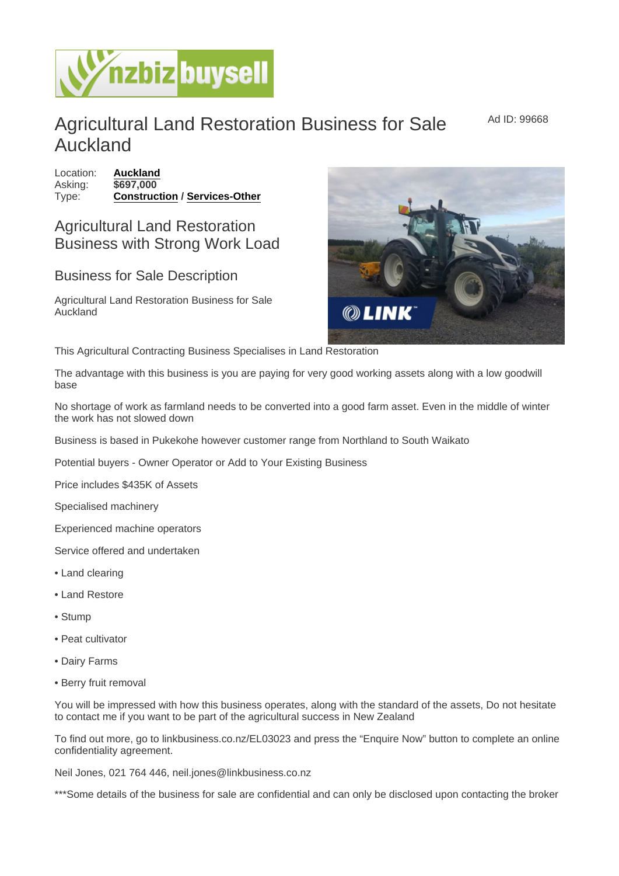## Agricultural Land Restoration Business for Sale Auckland

Location: [Auckland](https://www.nzbizbuysell.co.nz/businesses-for-sale/location/Auckland) Asking: \$697,000 Type: [Construction](https://www.nzbizbuysell.co.nz/businesses-for-sale/Construction/New-Zealand) / [Services-Other](https://www.nzbizbuysell.co.nz/businesses-for-sale/Services/New-Zealand)

## Agricultural Land Restoration Business with Strong Work Load

## Business for Sale Description

Agricultural Land Restoration Business for Sale Auckland

This Agricultural Contracting Business Specialises in Land Restoration

The advantage with this business is you are paying for very good working assets along with a low goodwill base

No shortage of work as farmland needs to be converted into a good farm asset. Even in the middle of winter the work has not slowed down

Business is based in Pukekohe however customer range from Northland to South Waikato

Potential buyers - Owner Operator or Add to Your Existing Business

Price includes \$435K of Assets

Specialised machinery

Experienced machine operators

Service offered and undertaken

- Land clearing
- Land Restore
- Stump
- Peat cultivator
- Dairy Farms
- Berry fruit removal

You will be impressed with how this business operates, along with the standard of the assets, Do not hesitate to contact me if you want to be part of the agricultural success in New Zealand

To find out more, go to linkbusiness.co.nz/EL03023 and press the "Enquire Now" button to complete an online confidentiality agreement.

Neil Jones, 021 764 446, neil.jones@linkbusiness.co.nz

\*\*\*Some details of the business for sale are confidential and can only be disclosed upon contacting the broker